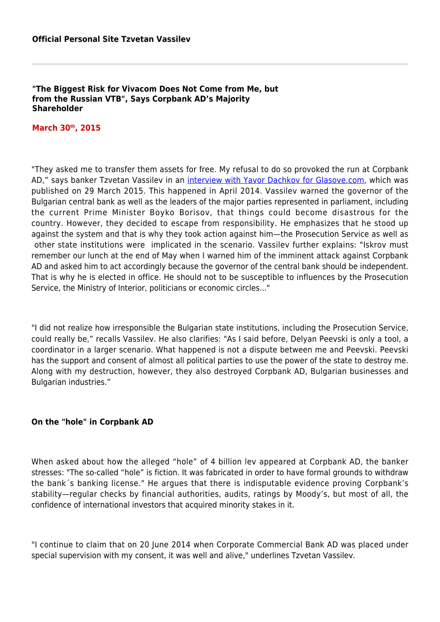#### **"The Biggest Risk for Vivacom Does Not Come from Me, but from the Russian VTB", Says Corpbank AD's Majority Shareholder**

### **March 30th, 2015**

"They asked me to transfer them assets for free. My refusal to do so provoked the run at Corpbank AD," says banker Tzvetan Vassilev in an [interview with Yavor Dachkov for Glasove.com,](http://Files/posts/_www.glasove.com,_Tzvetan_Vassilev_in_an_Interview_for_Glasove_website.pdf) which was published on 29 March 2015. This happened in April 2014. Vassilev warned the governor of the Bulgarian central bank as well as the leaders of the major parties represented in parliament, including the current Prime Minister Boyko Borisov, that things could become disastrous for the country. However, they decided to escape from responsibility. He emphasizes that he stood up against the system and that is why they took action against him—the Prosecution Service as well as other state institutions were implicated in the scenario. Vassilev further explains: "Iskrov must remember our lunch at the end of May when I warned him of the imminent attack against Corpbank AD and asked him to act accordingly because the governor of the central bank should be independent. That is why he is elected in office. He should not to be susceptible to influences by the Prosecution Service, the Ministry of Interior, politicians or economic circles..."

"I did not realize how irresponsible the Bulgarian state institutions, including the Prosecution Service, could really be," recalls Vassilev. He also clarifies: "As I said before, Delyan Peevski is only a tool, a coordinator in a larger scenario. What happened is not a dispute between me and Peevski. Peevski has the support and consent of almost all political parties to use the power of the state to destroy me. Along with my destruction, however, they also destroyed Corpbank AD, Bulgarian businesses and Bulgarian industries."

#### **On the "hole" in Corpbank AD**

When asked about how the alleged "hole" of 4 billion lev appeared at Corpbank AD, the banker stresses: "The so-called "hole" is fiction. It was fabricated in order to have formal grounds to withdraw the bank´s banking license." He argues that there is indisputable evidence proving Corpbank's stability—regular checks by financial authorities, audits, ratings by Moody's, but most of all, the confidence of international investors that acquired minority stakes in it.

"I continue to claim that on 20 June 2014 when Corporate Commercial Bank AD was placed under special supervision with my consent, it was well and alive," underlines Tzvetan Vassilev.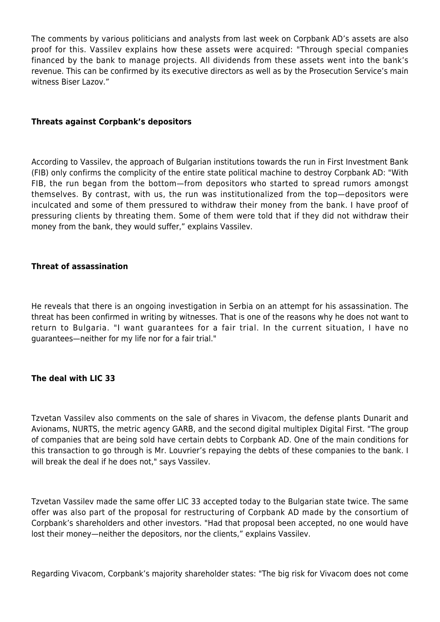The comments by various politicians and analysts from last week on Corpbank AD's assets are also proof for this. Vassilev explains how these assets were acquired: "Through special companies financed by the bank to manage projects. All dividends from these assets went into the bank's revenue. This can be confirmed by its executive directors as well as by the Prosecution Service's main witness Biser Lazov."

## **Threats against Corpbank's depositors**

According to Vassilev, the approach of Bulgarian institutions towards the run in First Investment Bank (FIB) only confirms the complicity of the entire state political machine to destroy Corpbank AD: "With FIB, the run began from the bottom—from depositors who started to spread rumors amongst themselves. By contrast, with us, the run was institutionalized from the top—depositors were inculcated and some of them pressured to withdraw their money from the bank. I have proof of pressuring clients by threating them. Some of them were told that if they did not withdraw their money from the bank, they would suffer," explains Vassilev.

## **Threat of assassination**

He reveals that there is an ongoing investigation in Serbia on an attempt for his assassination. The threat has been confirmed in writing by witnesses. That is one of the reasons why he does not want to return to Bulgaria. "I want guarantees for a fair trial. In the current situation, I have no guarantees—neither for my life nor for a fair trial."

# **The deal with LIC 33**

Tzvetan Vassilev also comments on the sale of shares in Vivacom, the defense plants Dunarit and Avionams, NURTS, the metric agency GARB, and the second digital multiplex Digital First. "The group of companies that are being sold have certain debts to Corpbank AD. One of the main conditions for this transaction to go through is Mr. Louvrier's repaying the debts of these companies to the bank. I will break the deal if he does not," says Vassilev.

Tzvetan Vassilev made the same offer LIC 33 accepted today to the Bulgarian state twice. The same offer was also part of the proposal for restructuring of Corpbank AD made by the consortium of Corpbank's shareholders and other investors. "Had that proposal been accepted, no one would have lost their money—neither the depositors, nor the clients," explains Vassilev.

Regarding Vivacom, Corpbank's majority shareholder states: "The big risk for Vivacom does not come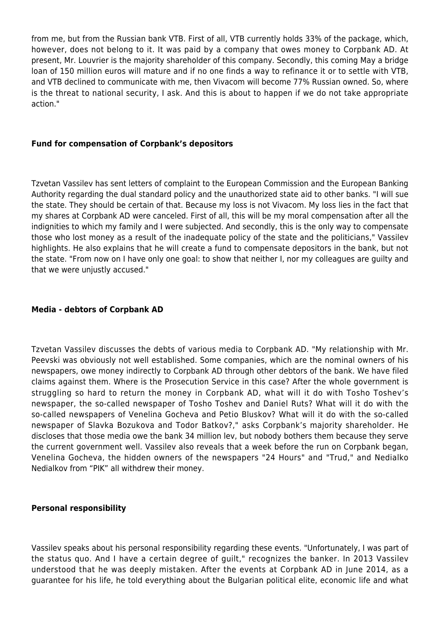from me, but from the Russian bank VTB. First of all, VTB currently holds 33% of the package, which, however, does not belong to it. It was paid by a company that owes money to Corpbank AD. At present, Mr. Louvrier is the majority shareholder of this company. Secondly, this coming May a bridge loan of 150 million euros will mature and if no one finds a way to refinance it or to settle with VTB, and VTB declined to communicate with me, then Vivacom will become 77% Russian owned. So, where is the threat to national security, I ask. And this is about to happen if we do not take appropriate action."

## **Fund for compensation of Corpbank's depositors**

Tzvetan Vassilev has sent letters of complaint to the European Commission and the European Banking Authority regarding the dual standard policy and the unauthorized state aid to other banks. "I will sue the state. They should be certain of that. Because my loss is not Vivacom. My loss lies in the fact that my shares at Corpbank AD were canceled. First of all, this will be my moral compensation after all the indignities to which my family and I were subjected. And secondly, this is the only way to compensate those who lost money as a result of the inadequate policy of the state and the politicians," Vassilev highlights. He also explains that he will create a fund to compensate depositors in the bank, but not the state. "From now on I have only one goal: to show that neither I, nor my colleagues are guilty and that we were unjustly accused."

## **Media - debtors of Corpbank AD**

Tzvetan Vassilev discusses the debts of various media to Corpbank AD. "My relationship with Mr. Peevski was obviously not well established. Some companies, which are the nominal owners of his newspapers, owe money indirectly to Corpbank AD through other debtors of the bank. We have filed claims against them. Where is the Prosecution Service in this case? After the whole government is struggling so hard to return the money in Corpbank AD, what will it do with Tosho Toshev's newspaper, the so-called newspaper of Tosho Toshev and Daniel Ruts? What will it do with the so-called newspapers of Venelina Gocheva and Petio Bluskov? What will it do with the so-called newspaper of Slavka Bozukova and Todor Batkov?," asks Corpbank's majority shareholder. He discloses that those media owe the bank 34 million lev, but nobody bothers them because they serve the current government well. Vassilev also reveals that a week before the run on Corpbank began, Venelina Gocheva, the hidden owners of the newspapers "24 Hours" and "Trud," and Nedialko Nedialkov from "PIK" all withdrew their money.

#### **Personal responsibility**

Vassilev speaks about his personal responsibility regarding these events. "Unfortunately, I was part of the status quo. And I have a certain degree of guilt," recognizes the banker. In 2013 Vassilev understood that he was deeply mistaken. After the events at Corpbank AD in June 2014, as a guarantee for his life, he told everything about the Bulgarian political elite, economic life and what